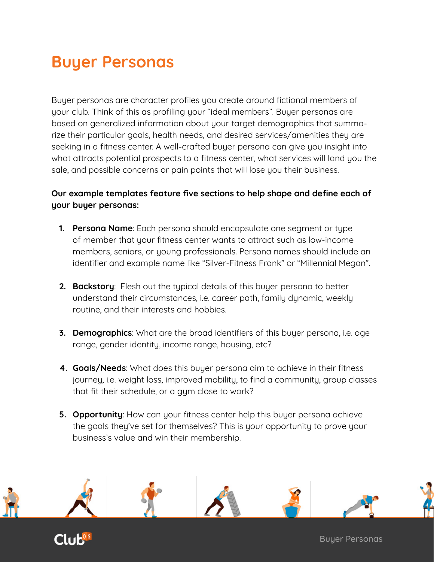Buyer personas are character profiles you create around fictional members of your club. Think of this as profiling your "ideal members". Buyer personas are based on generalized information about your target demographics that summarize their particular goals, health needs, and desired services/amenities they are seeking in a fitness center. A well-crafted buyer persona can give you insight into what attracts potential prospects to a fitness center, what services will land you the sale, and possible concerns or pain points that will lose you their business.

#### **Our example templates feature five sections to help shape and define each of your buyer personas:**

- **1. Persona Name**: Each persona should encapsulate one segment or type of member that your fitness center wants to attract such as low-income members, seniors, or young professionals. Persona names should include an identifier and example name like "Silver-Fitness Frank" or "Millennial Megan".
- **2. Backstory**: Flesh out the typical details of this buyer persona to better understand their circumstances, i.e. career path, family dynamic, weekly routine, and their interests and hobbies.
- **3. Demographics**: What are the broad identifiers of this buyer persona, i.e. age range, gender identity, income range, housing, etc?
- **4. Goals/Needs**: What does this buyer persona aim to achieve in their fitness journey, i.e. weight loss, improved mobility, to find a community, group classes that fit their schedule, or a gym close to work?
- **5. Opportunity**: How can your fitness center help this buyer persona achieve the goals they've set for themselves? This is your opportunity to prove your business's value and win their membership.



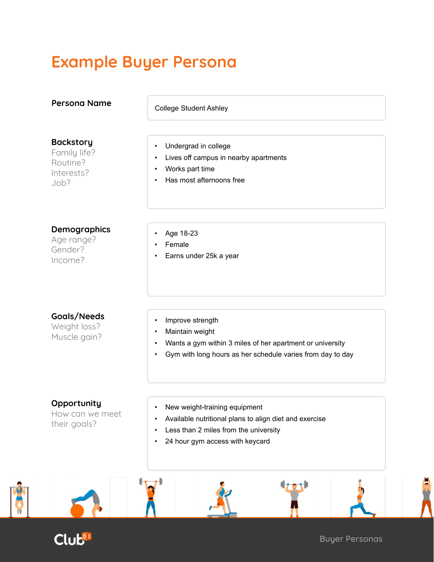# **Example Buyer Persona**

| <b>Backstory</b><br>Family life?<br>Routine?<br>Interests?<br>Job? | Undergrad in college<br>$\bullet$<br>Lives off campus in nearby apartments<br>Works part time<br>Has most afternoons free                                           |
|--------------------------------------------------------------------|---------------------------------------------------------------------------------------------------------------------------------------------------------------------|
| <b>Demographics</b><br>Age range?<br>Gender?<br>Income?            | Age 18-23<br>Female<br>Earns under 25k a year                                                                                                                       |
| Goals/Needs<br>Weight loss?<br>Muscle gain?                        | Improve strength<br>Maintain weight<br>Wants a gym within 3 miles of her apartment or university<br>Gym with long hours as her schedule varies from day to day      |
| Opportunity<br>How can we meet<br>their goals?                     | New weight-training equipment<br>Available nutritional plans to align diet and exercise<br>Less than 2 miles from the university<br>24 hour gym access with keycard |



Y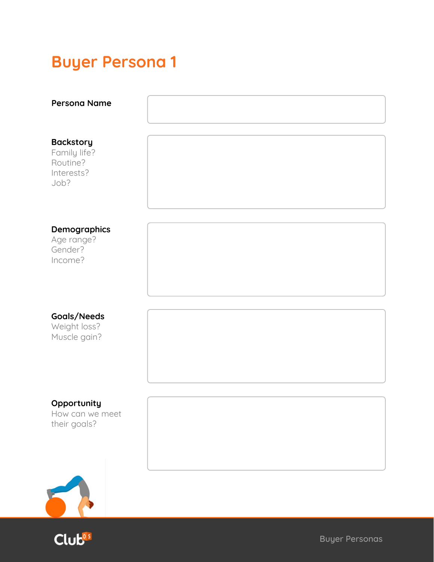| <b>Persona Name</b>                                                |  |
|--------------------------------------------------------------------|--|
| <b>Backstory</b><br>Family life?<br>Routine?<br>Interests?<br>Job? |  |
| Demographics<br>Age range?<br>Gender?<br>Income?                   |  |
| Goals/Needs<br>Weight loss?<br>Muscle gain?                        |  |
| Opportunity<br>How can we meet<br>their goals?                     |  |
| $\overline{a}$                                                     |  |

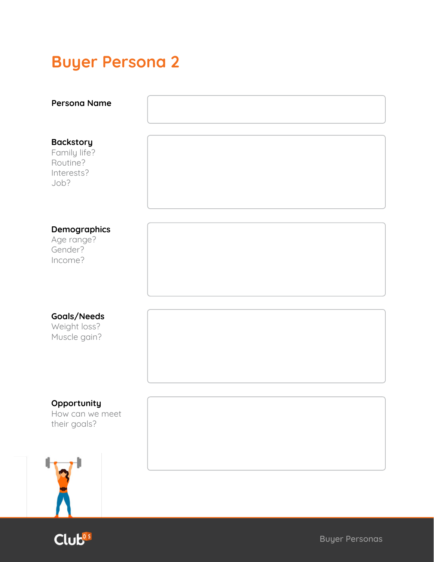| <b>Persona Name</b>                                                |  |
|--------------------------------------------------------------------|--|
| <b>Backstory</b><br>Family life?<br>Routine?<br>Interests?<br>Job? |  |
| Demographics<br>Age range?<br>Gender?<br>Income?                   |  |
| Goals/Needs<br>Weight loss?<br>Muscle gain?                        |  |
| Opportunity<br>How can we meet<br>their goals?                     |  |
|                                                                    |  |



Λ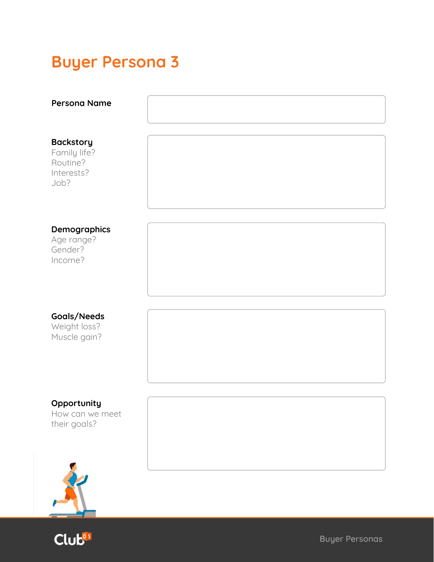| <b>Persona Name</b>                                                |  |
|--------------------------------------------------------------------|--|
| <b>Backstory</b><br>Family life?<br>Routine?<br>Interests?<br>Job? |  |
| Demographics<br>Age range?<br>Gender?<br>Income?                   |  |
| Goals/Needs<br>Weight loss?<br>Muscle gain?                        |  |
| Opportunity<br>How can we meet<br>their goals?                     |  |



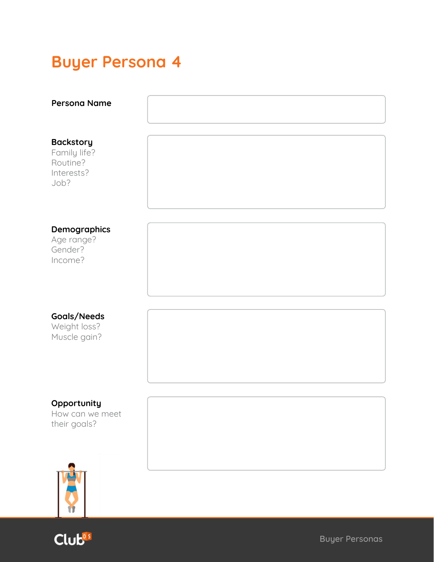| <b>Persona Name</b>                                                |  |
|--------------------------------------------------------------------|--|
| <b>Backstory</b><br>Family life?<br>Routine?<br>Interests?<br>Job? |  |
| Demographics<br>Age range?<br>Gender?<br>Income?                   |  |
| Goals/Needs<br>Weight loss?<br>Muscle gain?                        |  |
| Opportunity<br>How can we meet<br>their goals?                     |  |